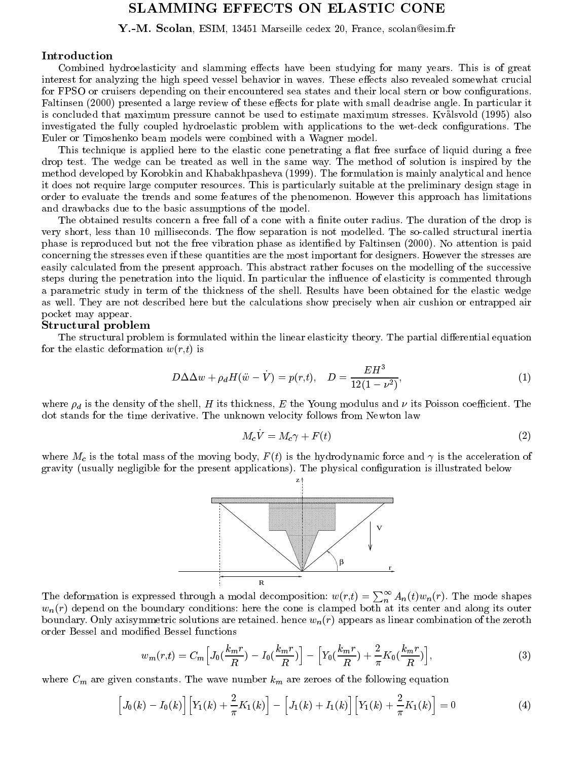# SLAMMING EFFECTS ON ELASTIC CONE

 $\blacksquare$ . The scolarized  $\blacksquare$  scale  $\blacksquare$  is the scale centre celestical scolarized centre.

### Introduction

Combined hydroelasticity and slamming effects have been studying for many years. This is of great interest for analyzing the high speed vessel behavior in waves. These effects also revealed somewhat crucial for FPSO or cruisers depending on their encountered sea states and their local stern or bow configurations. Faltinsen (2000) presented a large review of these effects for plate with small deadrise angle. In particular it is concluded that maximum pressure cannot be used to estimate maximum stresses. Kvalsvold (1995) also investigated the fully coupled hydroelastic problem with applications to the wet-deck congurations. The Euler or Timoshenko beam models were combined with a Wagner model.

This technique is applied here to the elastic cone penetrating a flat free surface of liquid during a free drop test. The wedge can be treated as well in the same way. The method of solution is inspired by the method developed by Korobkin and Khabakhpasheva (1999). The formulation is mainly analytical and hence it does not require large computer resources. This is particularly suitable at the preliminary design stage in order to evaluate the trends and some features of the phenomenon. However this approach has limitations and drawbacks due to the basic assumptions of the model.

The obtained results concern a free fall of a cone with a finite outer radius. The duration of the drop is very short, less than 10 milliseconds. The flow separation is not modelled. The so-called structural inertia phase is reproduced but not the free vibration phase as identied by Faltinsen (2000). No attention is paid concerning the stresses even if these quantities are the most important for designers. However the stresses are easily calculated from the present approach. This abstract rather focuses on the modelling of the successive steps during the penetration into the liquid. In particular the influence of elasticity is commented through a parametric study in term of the thickness of the shell. Results have been obtained for the elastic wedge as well. They are not described here but the calculations show precisely when air cushion or entrapped air pocket may appear.

#### structural problems in the community of the community of the community of the community of the community of the community of the community of the community of the community of the community of the community of the communit

The structural problem is formulated within the linear elasticity theory. The partial differential equation for the elastic deformation  $w(r,t)$  is

$$
D\Delta\Delta w + \rho_d H(\ddot{w} - \dot{V}) = p(r, t), \quad D = \frac{EH^3}{12(1 - \nu^2)},
$$
\n(1)

where  $\rho_d$  is the density of the shell, H its thickness, E the Young modulus and  $\nu$  its Poisson coefficient. The dot stands for the time derivative. The unknown velocity follows from Newton law

$$
M_c V = M_c \gamma + F(t) \tag{2}
$$

where  $M_c$  is the total mass of the moving body,  $F(t)$  is the hydrodynamic force and  $\gamma$  is the acceleration of gravity (usually negligible for the present applications). The physical conguration is illustrated below



The deformation is expressed through a modal decomposition:  $w(r,t) = \sum_{n=1}^{\infty} A_n(t) w_n(r)$ . The mode shapes  $w_n(r)$  depend on the boundary conditions: here the cone is clamped both at its center and along its outer boundary. Only axisymmetric solutions are retained. hence  $w_n(r)$  appears as linear combination of the zeroth order Bessel and modied Bessel functions

$$
w_m(r,t) = C_m \Big[ J_0(\frac{k_m r}{R}) - I_0(\frac{k_m r}{R}) \Big] - \Big[ Y_0(\frac{k_m r}{R}) + \frac{2}{\pi} K_0(\frac{k_m r}{R}) \Big],\tag{3}
$$

where  $C_m$  are given constants. The wave number  $k_m$  are zeroes of the following equation

$$
\[J_0(k) - I_0(k)\] \Big[ Y_1(k) + \frac{2}{\pi} K_1(k) \Big] - \Big[ J_1(k) + I_1(k) \Big] \Big[ Y_1(k) + \frac{2}{\pi} K_1(k) \Big] = 0 \tag{4}
$$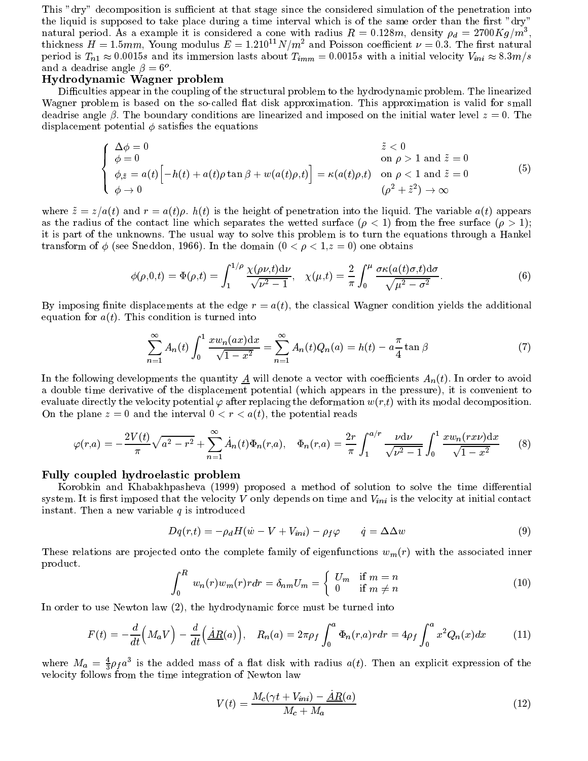This "dry" decomposition is sufficient at that stage since the considered simulation of the penetration into the liquid is supposed to take place during a time interval which is of the same order than the first "dry" natural period. As a example it is considered a cone with radius  $R = 0.128m$ , density  $\rho_d = 2700Kg/m^3$ , thickness  $H = 1.5mm$ , Young modulus  $E = 1.210^{11} N/m^2$  and Poisson coefficient  $\nu = 0.3$ . The first natural period is  $T_{n1} \approx 0.0015s$  and its immersion lasts about  $T_{imm} = 0.0015s$  with a initial velocity  $V_{ini} \approx 8.3m/s$ and a deadrise angle  $\rho = 0$  .

#### Hydrodynamic Wagner problem

Difficulties appear in the coupling of the structural problem to the hydrodynamic problem. The linearized Wagner problem is based on the so-called flat disk approximation. This approximation is valid for small deadrise angle  $\beta$ . The boundary conditions are linearized and imposed on the initial water level  $z = 0$ . The displacement potential  $\phi$  satisfies the equations

$$
\begin{cases}\n\Delta \phi = 0 & \tilde{z} < 0 \\
\phi = 0 & \text{on } \rho > 1 \text{ and } \tilde{z} = 0 \\
\phi_{,\tilde{z}} = a(t) \Big[ -h(t) + a(t) \rho \tan \beta + w(a(t)\rho, t) \Big] = \kappa(a(t)\rho, t) & \text{on } \rho < 1 \text{ and } \tilde{z} = 0 \\
\phi \to 0 & (\rho^2 + \tilde{z}^2) \to \infty\n\end{cases}
$$
\n(5)

where  $\tilde{z} = z/a(t)$  and  $r = a(t)\rho$ .  $h(t)$  is the height of penetration into the liquid. The variable  $a(t)$  appears as the radius of the contact line which separates the wetted surface  $(\rho < 1)$  from the free surface  $(\rho > 1)$ ; it is part of the unknowns. The usual way to solve this problem is to turn the equations through a Hankel transform of  $\phi$  (see Sneddon, 1966). In the domain  $(0 < \rho < 1, z = 0)$  one obtains

$$
\phi(\rho,0,t) = \Phi(\rho,t) = \int_1^{1/\rho} \frac{\chi(\rho\nu,t) d\nu}{\sqrt{\nu^2 - 1}}, \quad \chi(\mu,t) = \frac{2}{\pi} \int_0^{\mu} \frac{\sigma \kappa(a(t)\sigma,t) d\sigma}{\sqrt{\mu^2 - \sigma^2}}.
$$
\n(6)

By imposing finite displacements at the edge  $r = a(t)$ , the classical Wagner condition yields the additional equation for  $a(t)$ . This condition is turned into

$$
\sum_{n=1}^{\infty} A_n(t) \int_0^1 \frac{x w_n(ax) dx}{\sqrt{1 - x^2}} = \sum_{n=1}^{\infty} A_n(t) Q_n(a) = h(t) - a \frac{\pi}{4} \tan \beta \tag{7}
$$

In the following developments the quantity  $\underline{A}$  will denote a vector with coefficients  $A_n(t)$ . In order to avoid a double time derivative of the displacement potential (which appears in the pressure), it is convenient to evaluate directly the velocity potential  $\varphi$  after replacing the deformation  $w(r,t)$  with its modal decomposition. On the plane  $z = 0$  and the interval  $0 < r < a(t)$ , the potential reads

$$
\varphi(r,a) = -\frac{2V(t)}{\pi} \sqrt{a^2 - r^2} + \sum_{n=1}^{\infty} \dot{A}_n(t) \Phi_n(r,a), \quad \Phi_n(r,a) = \frac{2r}{\pi} \int_1^{a/r} \frac{\nu \, d\nu}{\sqrt{\nu^2 - 1}} \int_0^1 \frac{x w_n(r x \nu) dx}{\sqrt{1 - x^2}} \tag{8}
$$

#### Fully coupled hydroelastic problem

Korobkin and Khabakhpasheva (1999) proposed a method of solution to solve the time differential system. It is first imposed that the velocity V only depends on time and  $V_{ini}$  is the velocity at initial contact instant. Then a new variable  $q$  is introduced

$$
Dq(r,t) = -\rho_d H(\dot{w} - V + V_{ini}) - \rho_f \varphi \qquad \dot{q} = \Delta \Delta w \tag{9}
$$

These relations are projected onto the complete family of eigenfunctions  $w_m(r)$  with the associated inner product.

$$
\int_0^R w_n(r)w_m(r)r dr = \delta_{nm}U_m = \begin{cases} U_m & \text{if } m = n \\ 0 & \text{if } m \neq n \end{cases}
$$
 (10)

In order to use Newton law (2), the hydrodynamic force must be turned into

$$
F(t) = -\frac{d}{dt}\left(M_a V\right) - \frac{d}{dt}\left(\underline{\dot{A}}R(a)\right), \quad R_n(a) = 2\pi\rho_f \int_0^a \Phi_n(r,a) r dr = 4\rho_f \int_0^a x^2 Q_n(x) dx \tag{11}
$$

where  $M_a = \frac{1}{3} \rho_f a^3$  is the added mass of a nat disk with radius  $a(t)$ . Then an explicit expression of the velocity follows from the time integration of Newton law

$$
V(t) = \frac{M_c(\gamma t + V_{ini}) - \underline{A}R(a)}{M_c + M_a}
$$
\n(12)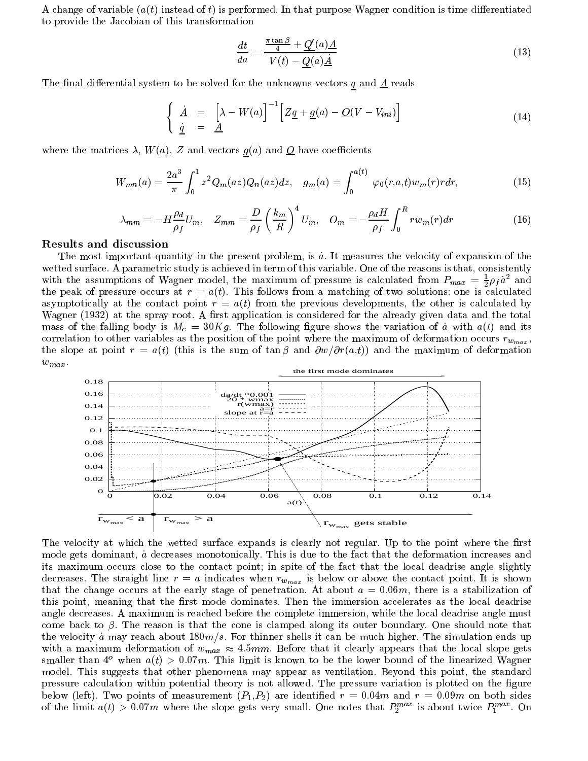A change of variable  $(a(t)$  instead of t) is performed. In that purpose Wagner condition is time differentiated to provide the Jacobian of this transformation

$$
\frac{dt}{da} = \frac{\frac{\pi \tan \beta}{4} + Q'(a)\underline{A}}{V(t) - Q(a)\underline{A}}\tag{13}
$$

The final differential system to be solved for the unknowns vectors  $q$  and  $\underline{A}$  reads

$$
\begin{cases}\n\dot{\underline{A}} = \left[\lambda - W(a)\right]^{-1} \left[ Z\underline{q} + \underline{g}(a) - \underline{O}(V - V_{ini}) \right]\n\dot{\underline{q}} = \underline{A}\n\end{cases} \n(14)
$$

where the matrices  $\lambda$ ,  $W(a)$ , Z and vectors  $g(a)$  and  $Q$  have coefficients

$$
W_{mn}(a) = \frac{2a^3}{\pi} \int_0^1 z^2 Q_m(az) Q_n(az) dz, \quad g_m(a) = \int_0^{a(t)} \varphi_0(r, a, t) w_m(r) r dr,
$$
\n(15)

$$
\lambda_{mm} = -H \frac{\rho_d}{\rho_f} U_m, \quad Z_{mm} = \frac{D}{\rho_f} \left(\frac{k_m}{R}\right)^4 U_m, \quad O_m = -\frac{\rho_d H}{\rho_f} \int_0^R r w_m(r) dr \tag{16}
$$

The most important quantity in the present problem, is  $\dot{a}$ . It measures the velocity of expansion of the wetted surface. A parametric study is achieved in term of this variable. One of the reasons is that, consistently with the assumptions of Wagner model, the maximum of pressure is calculated from  $P_{max} = \frac{1}{2} \rho_f a^2$  and the peak of pressure occurs at  $r = a(t)$ . This follows from a matching of two solutions: one is calculated asymptotically at the contact point  $r = a(t)$  from the previous developments, the other is calculated by Wagner (1932) at the spray root. A first application is considered for the already given data and the total mass of the falling body is  $M_c = 30Kg$ . The following figure shows the variation of a with  $a(t)$  and its correlation to other variables as the position of the point where the maximum of deformation occurs  $r_{w_{max}}$ , the slope at point  $r = a(t)$  (this is the sum of tan  $\beta$  and  $\partial w/\partial r(a,t)$ ) and the maximum of deformation  $w_{max}$ .



The velocity at which the wetted surface expands is clearly not regular. Up to the point where the first mode gets dominant, a decreases monotonically. This is due to the fact that the deformation increases and its maximum occurs close to the contact point; in spite of the fact that the local deadrise angle slightly decreases. The straight line  $r = a$  indicates when  $r_{w_{max}}$  is below or above the contact point. It is shown that the change occurs at the early stage of penetration. At about  $a = 0.06m$ , there is a stabilization of this point, meaning that the first mode dominates. Then the immersion accelerates as the local deadrise angle decreases. A maximum is reached before the complete immersion, while the local deadrise angle must come back to  $\beta$ . The reason is that the cone is clamped along its outer boundary. One should note that the velocity a may reach about  $180m/s$ . For thinner shells it can be much higher. The simulation ends up with a maximum deformation of  $w_{max} \approx 4.5 \, \text{mm}$ . Before that it clearly appears that the local slope gets smaller than  $4^{\circ}$  when  $a(t) > 0.07m$ . This limit is known to be the lower bound of the linearized Wagner model. This suggests that other phenomena may appear as ventilation. Beyond this point, the standard pressure calculation within potential theory is not allowed. The pressure variation is plotted on the figure below (left). Two points of measurement  $(P_1, P_2)$  are identified  $r = 0.04m$  and  $r = 0.09m$  on both sides of the limit  $a(t) > 0.07m$  where the slope gets very small. One hotes that  $P_2^{\text{max}}$  is about twice  $P_1^{\text{max}}$ . On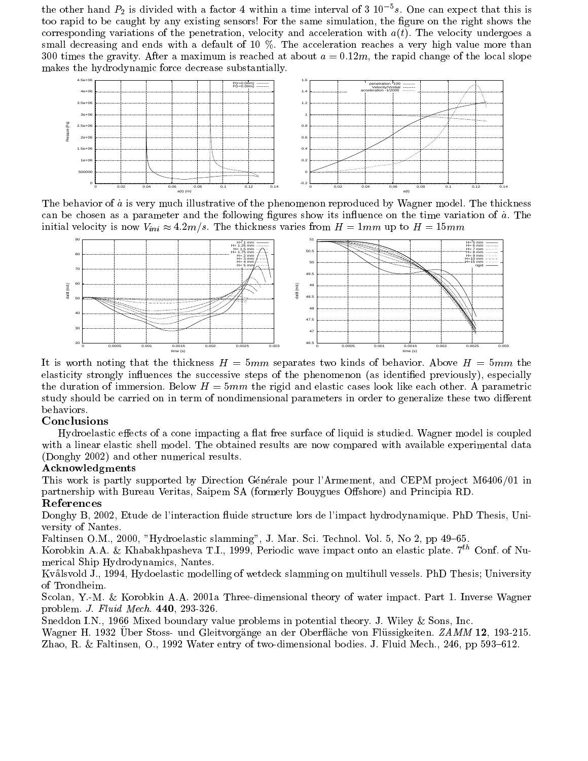the other hand  $P_2$  is divided with a factor 4 within a time interval of 3 10<sup>-5</sup>s. One can expect that this is too rapid to be caught by any existing sensors! For the same simulation, the figure on the right shows the corresponding variations of the penetration, velocity and acceleration with  $a(t)$ . The velocity undergoes a small decreasing and ends with a default of 10 %. The acceleration reaches a very high value more than 300 times the gravity. After a maximum is reached at about  $a = 0.12m$ , the rapid change of the local slope makes the hydrodynamic force decrease substantially.



The behavior of a is very much illustrative of the phenomenon reproduced by Wagner model. The thickness can be chosen as a parameter and the following figures show its influence on the time variation of  $\dot{a}$ . The initial velocity is now  $V_{ini} \approx 4.2 m/s$ . The thickness varies from  $H = 1mm$  up to  $H = 15mm$ 



It is worth noting that the thickness  $H = 5mm$  separates two kinds of behavior. Above  $H = 5mm$  the elasticity strongly influences the successive steps of the phenomenon (as identified previously), especially the duration of immersion. Below  $H = 5mm$  the rigid and elastic cases look like each other. A parametric study should be carried on in term of nondimensional parameters in order to generalize these two different behaviors.

## Conclusions

Hydroelastic effects of a cone impacting a flat free surface of liquid is studied. Wagner model is coupled with a linear elastic shell model. The obtained results are now compared with available experimental data (Donghy 2002) and other numerical results.

#### Acknowledgments

This work is partly supported by Direction Générale pour l'Armement, and CEPM project M6406/01 in partnership with Bureau Veritas, Saipem SA (formerly Bouygues Offshore) and Principia RD.

## References

Donghy B, 2002, Etude de l'interaction fluide structure lors de l'impact hydrodynamique. PhD Thesis, University of Nantes.

Faltinsen O.M., 2000, "Hydroelastic slamming", J. Mar. Sci. Technol. Vol. 5, No 2, pp 49-65.

Korobkin A.A. & Khabakhpasheva T.I., 1999, Periodic wave impact onto an elastic plate. 7<sup>th</sup> Conf. of Numerical Ship Hydrodynamics, Nantes.

Kvalsvold J., 1994, Hydoelastic modelling of wetdeck slamming on multihull vessels. PhD Thesis; University of Trondheim.

Scolan, Y.-M. & Korobkin A.A. 2001a Three-dimensional theory of water impact. Part 1. Inverse Wagner problem. J. Fluid Mech. 440, 293-326.

Sneddon I.N., 1966 Mixed boundary value problems in potential theory. J. Wiley & Sons, Inc.

Wagner H. 1932 Uber Stoss- und Gleitvorgänge an der Oberfläche von Flüssigkeiten. ZAMM 12, 193-215. Zhao, R. & Faltinsen, O., 1992 Water entry of two-dimensional bodies. J. Fluid Mech., 246, pp 593–612.